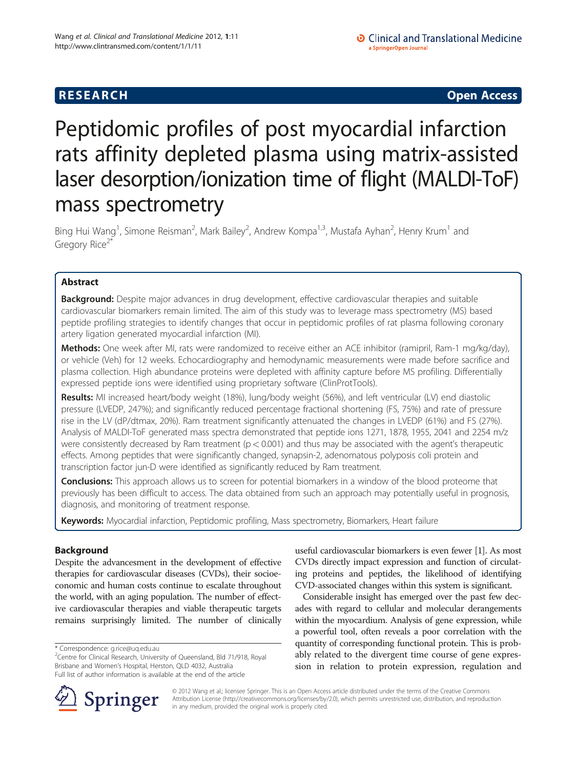# **RESEARCH CONSTRUCTED ACCESS**

# Peptidomic profiles of post myocardial infarction rats affinity depleted plasma using matrix-assisted laser desorption/ionization time of flight (MALDI-ToF) mass spectrometry

Bing Hui Wang<sup>1</sup>, Simone Reisman<sup>2</sup>, Mark Bailey<sup>2</sup>, Andrew Kompa<sup>1,3</sup>, Mustafa Ayhan<sup>2</sup>, Henry Krum<sup>1</sup> and Gregory Rice<sup>2\*</sup>

# Abstract

**Background:** Despite major advances in drug development, effective cardiovascular therapies and suitable cardiovascular biomarkers remain limited. The aim of this study was to leverage mass spectrometry (MS) based peptide profiling strategies to identify changes that occur in peptidomic profiles of rat plasma following coronary artery ligation generated myocardial infarction (MI).

Methods: One week after MI, rats were randomized to receive either an ACE inhibitor (ramipril, Ram-1 mg/kg/day), or vehicle (Veh) for 12 weeks. Echocardiography and hemodynamic measurements were made before sacrifice and plasma collection. High abundance proteins were depleted with affinity capture before MS profiling. Differentially expressed peptide ions were identified using proprietary software (ClinProtTools).

Results: MI increased heart/body weight (18%), lung/body weight (56%), and left ventricular (LV) end diastolic pressure (LVEDP, 247%); and significantly reduced percentage fractional shortening (FS, 75%) and rate of pressure rise in the LV (dP/dtmax, 20%). Ram treatment significantly attenuated the changes in LVEDP (61%) and FS (27%). Analysis of MALDI-ToF generated mass spectra demonstrated that peptide ions 1271, 1878, 1955, 2041 and 2254 m/z were consistently decreased by Ram treatment ( $p < 0.001$ ) and thus may be associated with the agent's therapeutic effects. Among peptides that were significantly changed, synapsin-2, adenomatous polyposis coli protein and transcription factor jun-D were identified as significantly reduced by Ram treatment.

**Conclusions:** This approach allows us to screen for potential biomarkers in a window of the blood proteome that previously has been difficult to access. The data obtained from such an approach may potentially useful in prognosis, diagnosis, and monitoring of treatment response.

Keywords: Myocardial infarction, Peptidomic profiling, Mass spectrometry, Biomarkers, Heart failure

# Background

Despite the advancesment in the development of effective therapies for cardiovascular diseases (CVDs), their socioeconomic and human costs continue to escalate throughout the world, with an aging population. The number of effective cardiovascular therapies and viable therapeutic targets remains surprisingly limited. The number of clinically

useful cardiovascular biomarkers is even fewer [\[1\]](#page-7-0). As most CVDs directly impact expression and function of circulating proteins and peptides, the likelihood of identifying CVD-associated changes within this system is significant.

Considerable insight has emerged over the past few decades with regard to cellular and molecular derangements within the myocardium. Analysis of gene expression, while a powerful tool, often reveals a poor correlation with the quantity of corresponding functional protein. This is probably related to the divergent time course of gene expression in relation to protein expression, regulation and



© 2012 Wang et al.; licensee Springer. This is an Open Access article distributed under the terms of the Creative Commons Attribution License (<http://creativecommons.org/licenses/by/2.0>), which permits unrestricted use, distribution, and reproduction in any medium, provided the original work is properly cited.

<sup>\*</sup> Correspondence: [g.rice@uq.edu.au](mailto:g.rice@uq.edu.au) <sup>2</sup>

 $2$ Centre for Clinical Research, University of Queensland, Bld 71/918, Royal Brisbane and Women's Hospital, Herston, QLD 4032, Australia Full list of author information is available at the end of the article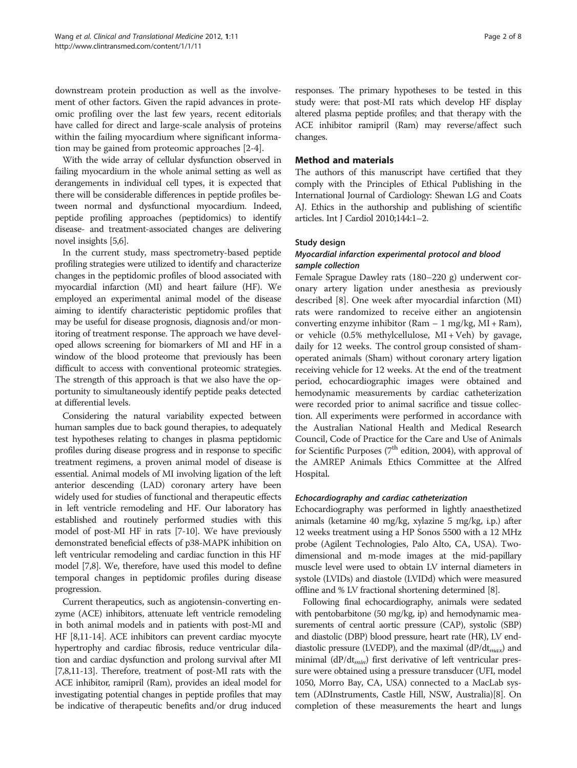downstream protein production as well as the involvement of other factors. Given the rapid advances in proteomic profiling over the last few years, recent editorials have called for direct and large-scale analysis of proteins within the failing myocardium where significant information may be gained from proteomic approaches [[2-4](#page-7-0)].

With the wide array of cellular dysfunction observed in failing myocardium in the whole animal setting as well as derangements in individual cell types, it is expected that there will be considerable differences in peptide profiles between normal and dysfunctional myocardium. Indeed, peptide profiling approaches (peptidomics) to identify disease- and treatment-associated changes are delivering novel insights [\[5,6\]](#page-7-0).

In the current study, mass spectrometry-based peptide profiling strategies were utilized to identify and characterize changes in the peptidomic profiles of blood associated with myocardial infarction (MI) and heart failure (HF). We employed an experimental animal model of the disease aiming to identify characteristic peptidomic profiles that may be useful for disease prognosis, diagnosis and/or monitoring of treatment response. The approach we have developed allows screening for biomarkers of MI and HF in a window of the blood proteome that previously has been difficult to access with conventional proteomic strategies. The strength of this approach is that we also have the opportunity to simultaneously identify peptide peaks detected at differential levels.

Considering the natural variability expected between human samples due to back gound therapies, to adequately test hypotheses relating to changes in plasma peptidomic profiles during disease progress and in response to specific treatment regimens, a proven animal model of disease is essential. Animal models of MI involving ligation of the left anterior descending (LAD) coronary artery have been widely used for studies of functional and therapeutic effects in left ventricle remodeling and HF. Our laboratory has established and routinely performed studies with this model of post-MI HF in rats [\[7](#page-7-0)-[10](#page-7-0)]. We have previously demonstrated beneficial effects of p38-MAPK inhibition on left ventricular remodeling and cardiac function in this HF model [[7,8](#page-7-0)]. We, therefore, have used this model to define temporal changes in peptidomic profiles during disease progression.

Current therapeutics, such as angiotensin-converting enzyme (ACE) inhibitors, attenuate left ventricle remodeling in both animal models and in patients with post-MI and HF [\[8,11-14\]](#page-7-0). ACE inhibitors can prevent cardiac myocyte hypertrophy and cardiac fibrosis, reduce ventricular dilation and cardiac dysfunction and prolong survival after MI [[7,8,11-13](#page-7-0)]. Therefore, treatment of post-MI rats with the ACE inhibitor, ramipril (Ram), provides an ideal model for investigating potential changes in peptide profiles that may be indicative of therapeutic benefits and/or drug induced

responses. The primary hypotheses to be tested in this study were: that post-MI rats which develop HF display altered plasma peptide profiles; and that therapy with the ACE inhibitor ramipril (Ram) may reverse/affect such changes.

#### Method and materials

The authors of this manuscript have certified that they comply with the Principles of Ethical Publishing in the International Journal of Cardiology: Shewan LG and Coats AJ. Ethics in the authorship and publishing of scientific articles. Int J Cardiol 2010;144:1–2.

#### Study design

#### Myocardial infarction experimental protocol and blood sample collection

Female Sprague Dawley rats (180–220 g) underwent coronary artery ligation under anesthesia as previously described [[8\]](#page-7-0). One week after myocardial infarction (MI) rats were randomized to receive either an angiotensin converting enzyme inhibitor ( $Ram - 1$  mg/kg,  $MI + Ram$ ), or vehicle (0.5% methylcellulose, MI + Veh) by gavage, daily for 12 weeks. The control group consisted of shamoperated animals (Sham) without coronary artery ligation receiving vehicle for 12 weeks. At the end of the treatment period, echocardiographic images were obtained and hemodynamic measurements by cardiac catheterization were recorded prior to animal sacrifice and tissue collection. All experiments were performed in accordance with the Australian National Health and Medical Research Council, Code of Practice for the Care and Use of Animals for Scientific Purposes (7<sup>th</sup> edition, 2004), with approval of the AMREP Animals Ethics Committee at the Alfred Hospital.

#### Echocardiography and cardiac catheterization

Echocardiography was performed in lightly anaesthetized animals (ketamine 40 mg/kg, xylazine 5 mg/kg, i.p.) after 12 weeks treatment using a HP Sonos 5500 with a 12 MHz probe (Agilent Technologies, Palo Alto, CA, USA). Twodimensional and m-mode images at the mid-papillary muscle level were used to obtain LV internal diameters in systole (LVIDs) and diastole (LVIDd) which were measured offline and % LV fractional shortening determined [\[8](#page-7-0)].

Following final echocardiography, animals were sedated with pentobarbitone (50 mg/kg, ip) and hemodynamic measurements of central aortic pressure (CAP), systolic (SBP) and diastolic (DBP) blood pressure, heart rate (HR), LV enddiastolic pressure (LVEDP), and the maximal  $(dP/dt_{max})$  and minimal  $(dP/dt<sub>min</sub>)$  first derivative of left ventricular pressure were obtained using a pressure transducer (UFI, model 1050, Morro Bay, CA, USA) connected to a MacLab system (ADInstruments, Castle Hill, NSW, Australia)[\[8\]](#page-7-0). On completion of these measurements the heart and lungs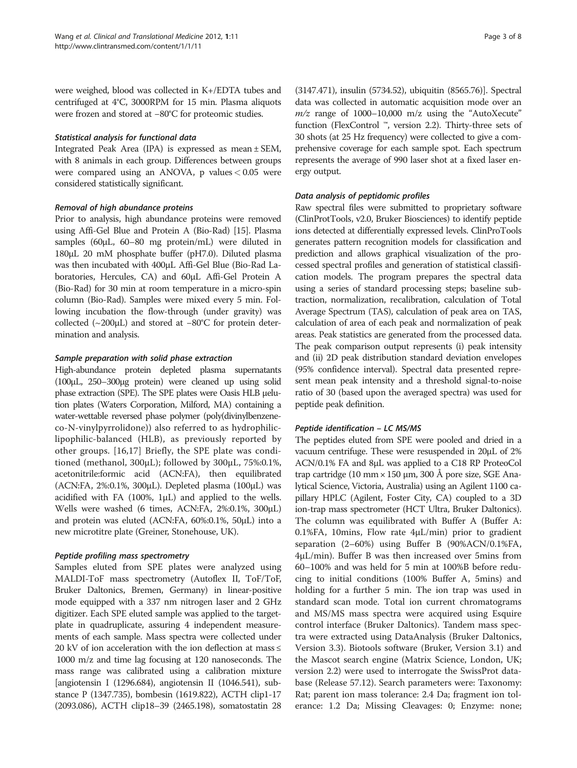were weighed, blood was collected in K+/EDTA tubes and centrifuged at 4°C, 3000RPM for 15 min. Plasma aliquots were frozen and stored at −80°C for proteomic studies.

# Statistical analysis for functional data

Integrated Peak Area (IPA) is expressed as mean ± SEM, with 8 animals in each group. Differences between groups were compared using an ANOVA, p values< 0.05 were considered statistically significant.

#### Removal of high abundance proteins

Prior to analysis, high abundance proteins were removed using Affi-Gel Blue and Protein A (Bio-Rad) [\[15\]](#page-7-0). Plasma samples (60μL, 60–80 mg protein/mL) were diluted in 180μL 20 mM phosphate buffer (pH7.0). Diluted plasma was then incubated with 400μL Affi-Gel Blue (Bio-Rad Laboratories, Hercules, CA) and 60μL Affi-Gel Protein A (Bio-Rad) for 30 min at room temperature in a micro-spin column (Bio-Rad). Samples were mixed every 5 min. Following incubation the flow-through (under gravity) was collected (~200μL) and stored at −80°C for protein determination and analysis.

#### Sample preparation with solid phase extraction

High-abundance protein depleted plasma supernatants (100μL, 250–300μg protein) were cleaned up using solid phase extraction (SPE). The SPE plates were Oasis HLB μelution plates (Waters Corporation, Milford, MA) containing a water-wettable reversed phase polymer (poly(divinylbenzeneco-N-vinylpyrrolidone)) also referred to as hydrophiliclipophilic-balanced (HLB), as previously reported by other groups. [[16,17\]](#page-7-0) Briefly, the SPE plate was conditioned (methanol, 300μL); followed by 300μL, 75%:0.1%, acetonitrile:formic acid (ACN:FA), then equilibrated (ACN:FA,  $2\%$ :0.1%,  $300\mu$ L). Depleted plasma (100 $\mu$ L) was acidified with FA (100%, 1μL) and applied to the wells. Wells were washed (6 times, ACN:FA, 2%:0.1%, 300μL) and protein was eluted (ACN:FA, 60%:0.1%, 50μL) into a new microtitre plate (Greiner, Stonehouse, UK).

# Peptide profiling mass spectrometry

Samples eluted from SPE plates were analyzed using MALDI-ToF mass spectrometry (Autoflex II, ToF/ToF, Bruker Daltonics, Bremen, Germany) in linear-positive mode equipped with a 337 nm nitrogen laser and 2 GHz digitizer. Each SPE eluted sample was applied to the targetplate in quadruplicate, assuring 4 independent measurements of each sample. Mass spectra were collected under 20 kV of ion acceleration with the ion deflection at mass  $\le$ 1000 m/z and time lag focusing at 120 nanoseconds. The mass range was calibrated using a calibration mixture [angiotensin I (1296.684), angiotensin II (1046.541), substance P (1347.735), bombesin (1619.822), ACTH clip1-17 (2093.086), ACTH clip18–39 (2465.198), somatostatin 28

(3147.471), insulin (5734.52), ubiquitin (8565.76)]. Spectral data was collected in automatic acquisition mode over an  $m/z$  range of 1000–10,000 m/z using the "AutoXecute" function (FlexControl ™, version 2.2). Thirty-three sets of 30 shots (at 25 Hz frequency) were collected to give a comprehensive coverage for each sample spot. Each spectrum represents the average of 990 laser shot at a fixed laser energy output.

# Data analysis of peptidomic profiles

Raw spectral files were submitted to proprietary software (ClinProtTools, v2.0, Bruker Biosciences) to identify peptide ions detected at differentially expressed levels. ClinProTools generates pattern recognition models for classification and prediction and allows graphical visualization of the processed spectral profiles and generation of statistical classification models. The program prepares the spectral data using a series of standard processing steps; baseline subtraction, normalization, recalibration, calculation of Total Average Spectrum (TAS), calculation of peak area on TAS, calculation of area of each peak and normalization of peak areas. Peak statistics are generated from the processed data. The peak comparison output represents (i) peak intensity and (ii) 2D peak distribution standard deviation envelopes (95% confidence interval). Spectral data presented represent mean peak intensity and a threshold signal-to-noise ratio of 30 (based upon the averaged spectra) was used for peptide peak definition.

# Peptide identification – LC MS/MS

The peptides eluted from SPE were pooled and dried in a vacuum centrifuge. These were resuspended in 20μL of 2% ACN/0.1% FA and 8μL was applied to a C18 RP ProteoCol trap cartridge (10 mm × 150 μm, 300 Å pore size, SGE Analytical Science, Victoria, Australia) using an Agilent 1100 capillary HPLC (Agilent, Foster City, CA) coupled to a 3D ion-trap mass spectrometer (HCT Ultra, Bruker Daltonics). The column was equilibrated with Buffer A (Buffer A: 0.1%FA, 10mins, Flow rate 4μL/min) prior to gradient separation (2–60%) using Buffer B (90%ACN/0.1%FA, 4μL/min). Buffer B was then increased over 5mins from 60–100% and was held for 5 min at 100%B before reducing to initial conditions (100% Buffer A, 5mins) and holding for a further 5 min. The ion trap was used in standard scan mode. Total ion current chromatograms and MS/MS mass spectra were acquired using Esquire control interface (Bruker Daltonics). Tandem mass spectra were extracted using DataAnalysis (Bruker Daltonics, Version 3.3). Biotools software (Bruker, Version 3.1) and the Mascot search engine (Matrix Science, London, UK; version 2.2) were used to interrogate the SwissProt database (Release 57.12). Search parameters were: Taxonomy: Rat; parent ion mass tolerance: 2.4 Da; fragment ion tolerance: 1.2 Da; Missing Cleavages: 0; Enzyme: none;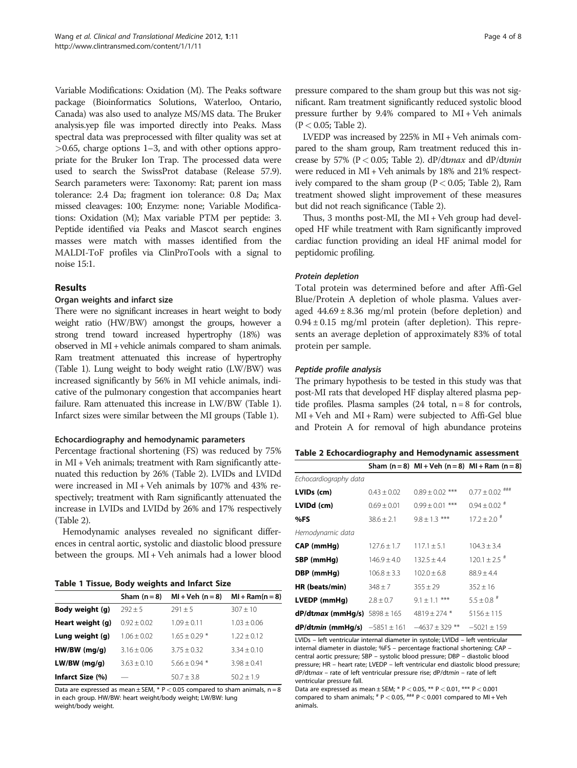Variable Modifications: Oxidation (M). The Peaks software package (Bioinformatics Solutions, Waterloo, Ontario, Canada) was also used to analyze MS/MS data. The Bruker analysis.yep file was imported directly into Peaks. Mass spectral data was preprocessed with filter quality was set at  $>0.65$ , charge options 1–3, and with other options appropriate for the Bruker Ion Trap. The processed data were used to search the SwissProt database (Release 57.9). Search parameters were: Taxonomy: Rat; parent ion mass tolerance: 2.4 Da; fragment ion tolerance: 0.8 Da; Max missed cleavages: 100; Enzyme: none; Variable Modifications: Oxidation (M); Max variable PTM per peptide: 3. Peptide identified via Peaks and Mascot search engines masses were match with masses identified from the MALDI-ToF profiles via ClinProTools with a signal to noise 15:1.

# Results

#### Organ weights and infarct size

There were no significant increases in heart weight to body weight ratio (HW/BW) amongst the groups, however a strong trend toward increased hypertrophy (18%) was observed in MI + vehicle animals compared to sham animals. Ram treatment attenuated this increase of hypertrophy (Table 1). Lung weight to body weight ratio (LW/BW) was increased significantly by 56% in MI vehicle animals, indicative of the pulmonary congestion that accompanies heart failure. Ram attenuated this increase in LW/BW (Table 1). Infarct sizes were similar between the MI groups (Table 1).

#### Echocardiography and hemodynamic parameters

Percentage fractional shortening (FS) was reduced by 75% in MI + Veh animals; treatment with Ram significantly attenuated this reduction by 26% (Table 2). LVIDs and LVIDd were increased in MI + Veh animals by 107% and 43% respectively; treatment with Ram significantly attenuated the increase in LVIDs and LVIDd by 26% and 17% respectively (Table 2).

Hemodynamic analyses revealed no significant differences in central aortic, systolic and diastolic blood pressure between the groups. MI + Veh animals had a lower blood

Table 1 Tissue, Body weights and Infarct Size

|                  | Sham $(n=8)$  | $MI + Veh (n = 8)$ | $MI + Ram(n = 8)$ |
|------------------|---------------|--------------------|-------------------|
| Body weight (g)  | $292 + 5$     | $291 + 5$          | $307 + 10$        |
| Heart weight (g) | $0.92 + 0.02$ | $1.09 \pm 0.11$    | $1.03 \pm 0.06$   |
| Lung weight (g)  | $1.06 + 0.02$ | $1.65 \pm 0.29$ *  | $1.22 + 0.12$     |
| $HW/BW$ (mg/g)   | $3.16 + 0.06$ | $3.75 + 0.32$      | $3.34 + 0.10$     |
| $LW/BW$ (mg/g)   | $3.63 + 0.10$ | $5.66 \pm 0.94$ *  | $3.98 \pm 0.41$   |
| Infarct Size (%) |               | $50.7 + 3.8$       | $50.2 + 1.9$      |

Data are expressed as mean  $\pm$  SEM,  $*$  P < 0.05 compared to sham animals, n = 8 in each group. HW/BW: heart weight/body weight; LW/BW: lung weight/body weight.

pressure compared to the sham group but this was not significant. Ram treatment significantly reduced systolic blood pressure further by 9.4% compared to MI + Veh animals  $(P < 0.05$ ; Table 2).

LVEDP was increased by 225% in MI + Veh animals compared to the sham group, Ram treatment reduced this increase by 57% ( $P < 0.05$ ; Table 2). dP/dtmax and dP/dtmin were reduced in MI + Veh animals by 18% and 21% respectively compared to the sham group ( $P < 0.05$ ; Table 2), Ram treatment showed slight improvement of these measures but did not reach significance (Table 2).

Thus, 3 months post-MI, the MI + Veh group had developed HF while treatment with Ram significantly improved cardiac function providing an ideal HF animal model for peptidomic profiling.

#### Protein depletion

Total protein was determined before and after Affi-Gel Blue/Protein A depletion of whole plasma. Values averaged  $44.69 \pm 8.36$  mg/ml protein (before depletion) and  $0.94 \pm 0.15$  mg/ml protein (after depletion). This represents an average depletion of approximately 83% of total protein per sample.

# Peptide profile analysis

The primary hypothesis to be tested in this study was that post-MI rats that developed HF display altered plasma peptide profiles. Plasma samples  $(24 \text{ total}, n = 8 \text{ for controls},$ MI + Veh and MI + Ram) were subjected to Affi-Gel blue and Protein A for removal of high abundance proteins

| Table 2 Echocardiography and Hemodynamic assessment |  |
|-----------------------------------------------------|--|
|                                                     |  |

|                                          |                                                                |                     | Sham $(n = 8)$ MI + Veh $(n = 8)$ MI + Ram $(n = 8)$ |  |
|------------------------------------------|----------------------------------------------------------------|---------------------|------------------------------------------------------|--|
| Echocardiography data                    |                                                                |                     |                                                      |  |
| LVIDs (cm)                               | $0.43 \pm 0.02$                                                | $0.89 \pm 0.02$ *** | $0.77 \pm 0.02$ ***                                  |  |
| LVIDd (cm)                               | $0.69 \pm 0.01$                                                | $0.99 \pm 0.01$ *** | $0.94 + 0.02$ <sup>#</sup>                           |  |
| %FS                                      | $38.6 \pm 2.1$                                                 | $9.8 \pm 1.3$ ***   | $17.2 \pm 2.0$ <sup>#</sup>                          |  |
| Hemodynamic data                         |                                                                |                     |                                                      |  |
| CAP (mmHg)                               | $127.6 + 1.7$                                                  | $117.1 + 5.1$       | $104.3 \pm 3.4$                                      |  |
| SBP (mmHg)                               | $146.9 \pm 4.0$                                                | $132.5 + 4.4$       | $120.1 + 2.5$ #                                      |  |
| DBP (mmHg)                               | $106.8 \pm 3.3$                                                | $102.0 + 6.8$       | $88.9 + 4.4$                                         |  |
| HR (beats/min)                           | $348 + 7$                                                      | $355 + 29$          | $352 + 16$                                           |  |
| LVEDP (mmHq)                             | $5.5 \pm 0.8$ <sup>#</sup><br>$9.1 \pm 1.1$ ***<br>$7.8 + 0.7$ |                     |                                                      |  |
| <b>dP/dtmax (mmHg/s)</b> $5898 \pm 165$  |                                                                | $4819 \pm 274$ *    | $5156 \pm 115$                                       |  |
| <b>dP/dtmin (mmHq/s)</b> $-5851 \pm 161$ |                                                                | $-4637 \pm 329$ **  | $-5021 \pm 159$                                      |  |

LVIDs – left ventricular internal diameter in systole; LVIDd – left ventricular internal diameter in diastole; %FS – percentage fractional shortening; CAP – central aortic pressure; SBP – systolic blood pressure; DBP – diastolic blood pressure; HR – heart rate; LVEDP – left ventricular end diastolic blood pressure; dP/dtmax – rate of left ventricular pressure rise; dP/dtmin – rate of left ventricular pressure fall.

Data are expressed as mean  $\pm$  SEM; \* P < 0.05, \*\* P < 0.01, \*\*\* P < 0.001 compared to sham animals;  $* P < 0.05$ ,  $*** P < 0.001$  compared to MI + Veh animals.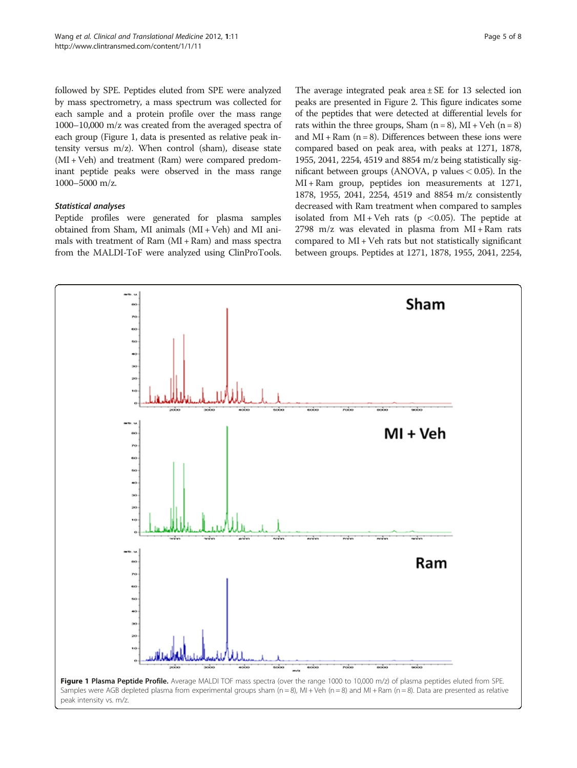followed by SPE. Peptides eluted from SPE were analyzed by mass spectrometry, a mass spectrum was collected for each sample and a protein profile over the mass range 1000–10,000 m/z was created from the averaged spectra of each group (Figure 1, data is presented as relative peak intensity versus m/z). When control (sham), disease state (MI + Veh) and treatment (Ram) were compared predominant peptide peaks were observed in the mass range 1000–5000 m/z.

#### Statistical analyses

Peptide profiles were generated for plasma samples obtained from Sham, MI animals  $(MI + Veh)$  and MI animals with treatment of Ram (MI + Ram) and mass spectra from the MALDI-ToF were analyzed using ClinProTools.

The average integrated peak area  $\pm$  SE for 13 selected ion peaks are presented in Figure [2](#page-5-0). This figure indicates some of the peptides that were detected at differential levels for rats within the three groups, Sham  $(n = 8)$ , MI + Veh  $(n = 8)$ and  $MI + Ram$  ( $n = 8$ ). Differences between these ions were compared based on peak area, with peaks at 1271, 1878, 1955, 2041, 2254, 4519 and 8854 m/z being statistically significant between groups (ANOVA, p values  $< 0.05$ ). In the MI + Ram group, peptides ion measurements at 1271, 1878, 1955, 2041, 2254, 4519 and 8854 m/z consistently decreased with Ram treatment when compared to samples isolated from  $MI + Veh$  rats (p <0.05). The peptide at 2798 m/z was elevated in plasma from MI + Ram rats compared to  $MI + Veh$  rats but not statistically significant between groups. Peptides at 1271, 1878, 1955, 2041, 2254,

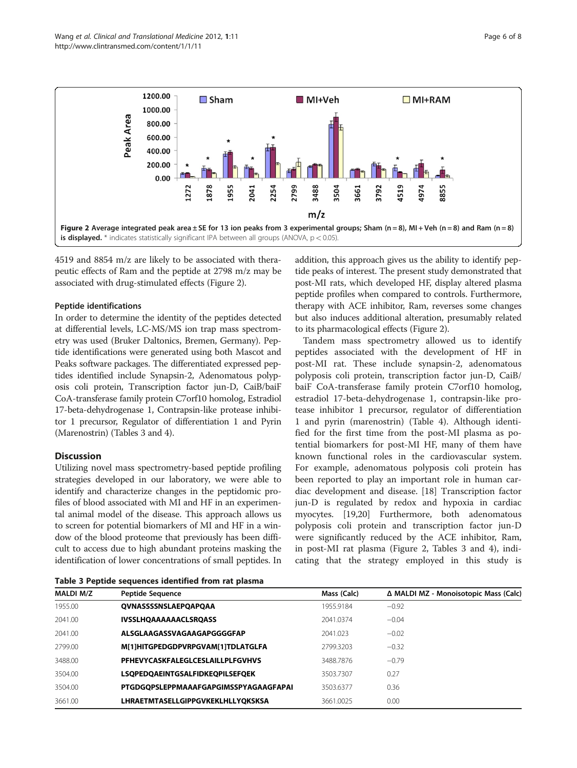<span id="page-5-0"></span>

4519 and 8854 m/z are likely to be associated with therapeutic effects of Ram and the peptide at 2798 m/z may be associated with drug-stimulated effects (Figure 2).

#### Peptide identifications

In order to determine the identity of the peptides detected at differential levels, LC-MS/MS ion trap mass spectrometry was used (Bruker Daltonics, Bremen, Germany). Peptide identifications were generated using both Mascot and Peaks software packages. The differentiated expressed peptides identified include Synapsin-2, Adenomatous polyposis coli protein, Transcription factor jun-D, CaiB/baiF CoA-transferase family protein C7orf10 homolog, Estradiol 17-beta-dehydrogenase 1, Contrapsin-like protease inhibitor 1 precursor, Regulator of differentiation 1 and Pyrin (Marenostrin) (Tables 3 and [4\)](#page-6-0).

# **Discussion**

Utilizing novel mass spectrometry-based peptide profiling strategies developed in our laboratory, we were able to identify and characterize changes in the peptidomic profiles of blood associated with MI and HF in an experimental animal model of the disease. This approach allows us to screen for potential biomarkers of MI and HF in a window of the blood proteome that previously has been difficult to access due to high abundant proteins masking the identification of lower concentrations of small peptides. In

Table 3 Peptide sequences identified from rat plasma

addition, this approach gives us the ability to identify peptide peaks of interest. The present study demonstrated that post-MI rats, which developed HF, display altered plasma peptide profiles when compared to controls. Furthermore, therapy with ACE inhibitor, Ram, reverses some changes but also induces additional alteration, presumably related to its pharmacological effects (Figure 2).

Tandem mass spectrometry allowed us to identify peptides associated with the development of HF in post-MI rat. These include synapsin-2, adenomatous polyposis coli protein, transcription factor jun-D, CaiB/ baiF CoA-transferase family protein C7orf10 homolog, estradiol 17-beta-dehydrogenase 1, contrapsin-like protease inhibitor 1 precursor, regulator of differentiation 1 and pyrin (marenostrin) (Table [4\)](#page-6-0). Although identified for the first time from the post-MI plasma as potential biomarkers for post-MI HF, many of them have known functional roles in the cardiovascular system. For example, adenomatous polyposis coli protein has been reported to play an important role in human cardiac development and disease. [\[18](#page-7-0)] Transcription factor jun-D is regulated by redox and hypoxia in cardiac myocytes. [[19,20](#page-7-0)] Furthermore, both adenomatous polyposis coli protein and transcription factor jun-D were significantly reduced by the ACE inhibitor, Ram, in post-MI rat plasma (Figure 2, Tables 3 and [4\)](#page-6-0), indicating that the strategy employed in this study is

| <b>MALDI M/Z</b> | <b>Peptide Sequence</b>                | Mass (Calc) | Δ MALDI MZ - Monoisotopic Mass (Calc) |
|------------------|----------------------------------------|-------------|---------------------------------------|
| 1955.00          | QVNASSSSNSLAEPQAPQAA                   | 1955.9184   | $-0.92$                               |
| 2041.00          | <b>IVSSLHOAAAAAAACLSROASS</b>          | 2041.0374   | $-0.04$                               |
| 2041.00          | ALSGLAAGASSVAGAAGAPGGGGFAP             | 2041.023    | $-0.02$                               |
| 2799.00          | MI11HITGPEDGDPVRPGVAMI11TDLATGLFA      | 2799.3203   | $-0.32$                               |
| 3488.00          | PFHEVYCASKFALEGLCESLAILLPLFGVHVS       | 3488.7876   | $-0.79$                               |
| 3504.00          | <b>LSQPEDQAEINTGSALFIDKEQPILSEFQEK</b> | 3503.7307   | 0.27                                  |
| 3504.00          | PTGDGQPSLEPPMAAAFGAPGIMSSPYAGAAGFAPAI  | 3503.6377   | 0.36                                  |
| 3661.00          | LHRAETMTASELLGIPPGVKEKLHLLYOKSKSA      | 3661.0025   | 0.00                                  |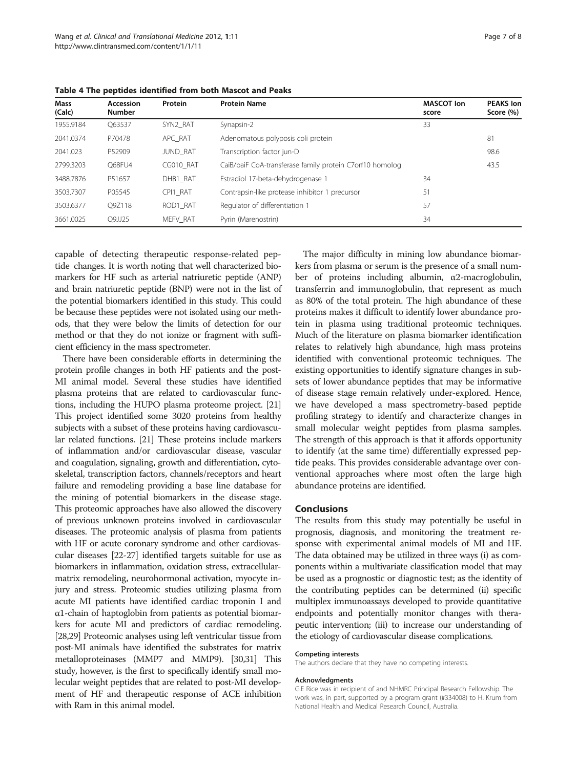| Mass<br>(Calc) | Accession<br><b>Number</b> | Protein   | <b>Protein Name</b>                                      | <b>MASCOT Ion</b><br>score | <b>PEAKS Ion</b><br>Score (%) |
|----------------|----------------------------|-----------|----------------------------------------------------------|----------------------------|-------------------------------|
| 1955.9184      | Q63537                     | SYN2 RAT  | Synapsin-2                                               | 33                         |                               |
| 2041.0374      | P70478                     | APC RAT   | Adenomatous polyposis coli protein                       |                            | 81                            |
| 2041.023       | P52909                     | JUND RAT  | Transcription factor jun-D                               |                            | 98.6                          |
| 2799.3203      | O68FU4                     | CG010 RAT | CaiB/baiF CoA-transferase family protein C7orf10 homolog |                            | 43.5                          |
| 3488.7876      | P51657                     | DHB1 RAT  | Estradiol 17-beta-dehydrogenase 1                        | 34                         |                               |
| 3503.7307      | P05545                     | CPI1 RAT  | Contrapsin-like protease inhibitor 1 precursor           | 51                         |                               |
| 3503.6377      | O9Z118                     | ROD1 RAT  | Regulator of differentiation 1                           | 57                         |                               |
| 3661.0025      | O9JJ25                     | MEFV RAT  | Pyrin (Marenostrin)                                      | 34                         |                               |

<span id="page-6-0"></span>Table 4 The peptides identified from both Mascot and Peaks

capable of detecting therapeutic response-related peptide changes. It is worth noting that well characterized biomarkers for HF such as arterial natriuretic peptide (ANP) and brain natriuretic peptide (BNP) were not in the list of the potential biomarkers identified in this study. This could be because these peptides were not isolated using our methods, that they were below the limits of detection for our method or that they do not ionize or fragment with sufficient efficiency in the mass spectrometer.

There have been considerable efforts in determining the protein profile changes in both HF patients and the post-MI animal model. Several these studies have identified plasma proteins that are related to cardiovascular functions, including the HUPO plasma proteome project. [\[21](#page-7-0)] This project identified some 3020 proteins from healthy subjects with a subset of these proteins having cardiovascular related functions. [[21](#page-7-0)] These proteins include markers of inflammation and/or cardiovascular disease, vascular and coagulation, signaling, growth and differentiation, cytoskeletal, transcription factors, channels/receptors and heart failure and remodeling providing a base line database for the mining of potential biomarkers in the disease stage. This proteomic approaches have also allowed the discovery of previous unknown proteins involved in cardiovascular diseases. The proteomic analysis of plasma from patients with HF or acute coronary syndrome and other cardiovascular diseases [[22](#page-7-0)-[27](#page-7-0)] identified targets suitable for use as biomarkers in inflammation, oxidation stress, extracellularmatrix remodeling, neurohormonal activation, myocyte injury and stress. Proteomic studies utilizing plasma from acute MI patients have identified cardiac troponin I and  $\alpha$ 1-chain of haptoglobin from patients as potential biomarkers for acute MI and predictors of cardiac remodeling. [[28,29\]](#page-7-0) Proteomic analyses using left ventricular tissue from post-MI animals have identified the substrates for matrix metalloproteinases (MMP7 and MMP9). [[30,31](#page-7-0)] This study, however, is the first to specifically identify small molecular weight peptides that are related to post-MI development of HF and therapeutic response of ACE inhibition with Ram in this animal model.

The major difficulty in mining low abundance biomarkers from plasma or serum is the presence of a small number of proteins including albumin, α2-macroglobulin, transferrin and immunoglobulin, that represent as much as 80% of the total protein. The high abundance of these proteins makes it difficult to identify lower abundance protein in plasma using traditional proteomic techniques. Much of the literature on plasma biomarker identification relates to relatively high abundance, high mass proteins identified with conventional proteomic techniques. The existing opportunities to identify signature changes in subsets of lower abundance peptides that may be informative of disease stage remain relatively under-explored. Hence, we have developed a mass spectrometry-based peptide profiling strategy to identify and characterize changes in small molecular weight peptides from plasma samples. The strength of this approach is that it affords opportunity to identify (at the same time) differentially expressed peptide peaks. This provides considerable advantage over conventional approaches where most often the large high abundance proteins are identified.

#### Conclusions

The results from this study may potentially be useful in prognosis, diagnosis, and monitoring the treatment response with experimental animal models of MI and HF. The data obtained may be utilized in three ways (i) as components within a multivariate classification model that may be used as a prognostic or diagnostic test; as the identity of the contributing peptides can be determined (ii) specific multiplex immunoassays developed to provide quantitative endpoints and potentially monitor changes with therapeutic intervention; (iii) to increase our understanding of the etiology of cardiovascular disease complications.

#### Competing interests

The authors declare that they have no competing interests.

#### Acknowledgments

G.E Rice was in recipient of and NHMRC Principal Research Fellowship. The work was, in part, supported by a program grant (#334008) to H. Krum from National Health and Medical Research Council, Australia.